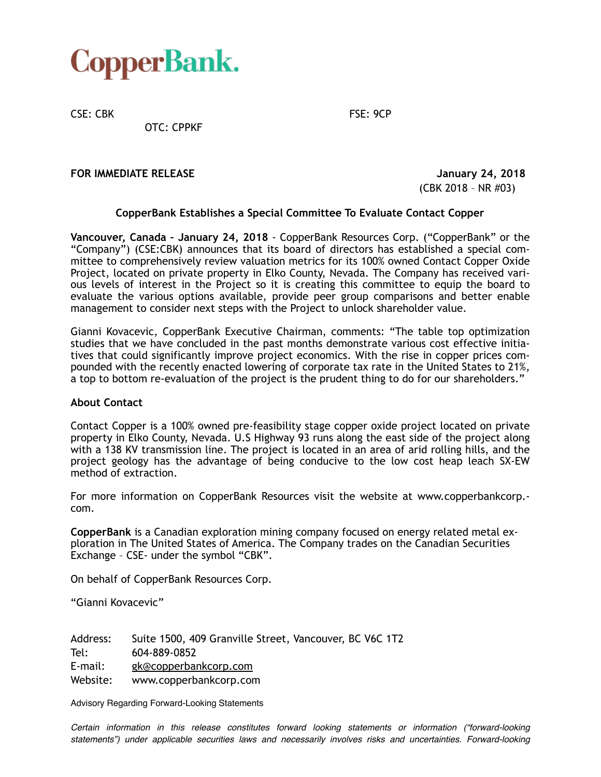

CSE: CBK FSE: 9CP

OTC: CPPKF

**FOR IMMEDIATE RELEASE** *ACCEPTED ACCEPTED ACCEPTED ACCEPTED ACCEPTED ACCEPTED ACCEPTED ACCEPTED ACCEPTED ACCEPTED ACCEPTED ACCEPTED ACCEPTED ACCEPTED ACCEPTED ACCEPTED ACCEPTED ACCEPTED ACCEPTED ACCEPTED ACCEPTED ACCEPTE* 

(CBK 2018 – NR #03)

## **CopperBank Establishes a Special Committee To Evaluate Contact Copper**

**Vancouver, Canada – January 24, 2018** - CopperBank Resources Corp. ("CopperBank" or the "Company") (CSE:CBK) announces that its board of directors has established a special committee to comprehensively review valuation metrics for its 100% owned Contact Copper Oxide Project, located on private property in Elko County, Nevada. The Company has received various levels of interest in the Project so it is creating this committee to equip the board to evaluate the various options available, provide peer group comparisons and better enable management to consider next steps with the Project to unlock shareholder value.

Gianni Kovacevic, CopperBank Executive Chairman, comments: "The table top optimization studies that we have concluded in the past months demonstrate various cost effective initiatives that could significantly improve project economics. With the rise in copper prices compounded with the recently enacted lowering of corporate tax rate in the United States to 21%, a top to bottom re-evaluation of the project is the prudent thing to do for our shareholders."

## **About Contact**

Contact Copper is a 100% owned pre-feasibility stage copper oxide project located on private property in Elko County, Nevada. U.S Highway 93 runs along the east side of the project along with a 138 KV transmission line. The project is located in an area of arid rolling hills, and the project geology has the advantage of being conducive to the low cost heap leach SX-EW method of extraction.

For more information on CopperBank Resources visit the website at www.copperbankcorp. com.

**CopperBank** is a Canadian exploration mining company focused on energy related metal exploration in The United States of America. The Company trades on the Canadian Securities Exchange – CSE- under the symbol "CBK".

On behalf of CopperBank Resources Corp.

"Gianni Kovacevic"

Address: Suite 1500, 409 Granville Street, Vancouver, BC V6C 1T2 Tel: 604-889-0852 E-mail: gk@copperbankcorp.com Website: www.copperbankcorp.com

Advisory Regarding Forward-Looking Statements

*Certain information in this release constitutes forward looking statements or information ("forward-looking statements") under applicable securities laws and necessarily involves risks and uncertainties. Forward-looking*